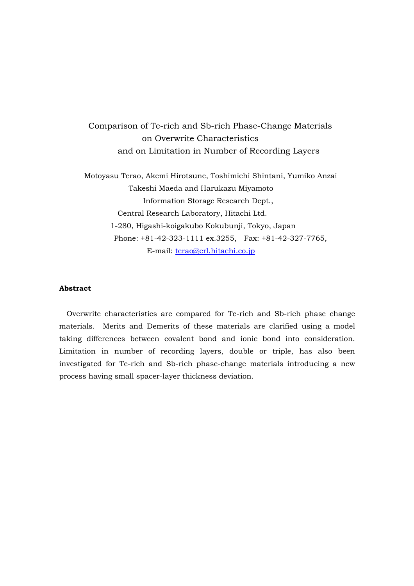Comparison of Te-rich and Sb-rich Phase-Change Materials on Overwrite Characteristics and on Limitation in Number of Recording Layers

 Motoyasu Terao, Akemi Hirotsune, Toshimichi Shintani, Yumiko Anzai Takeshi Maeda and Harukazu Miyamoto Information Storage Research Dept., Central Research Laboratory, Hitachi Ltd. 1-280, Higashi-koigakubo Kokubunji, Tokyo, Japan Phone: +81-42-323-1111 ex.3255, Fax: +81-42-327-7765, E-mail: terao@crl.hitachi.co.jp

# **Abstract**

 Overwrite characteristics are compared for Te-rich and Sb-rich phase change materials. Merits and Demerits of these materials are clarified using a model taking differences between covalent bond and ionic bond into consideration. Limitation in number of recording layers, double or triple, has also been investigated for Te-rich and Sb-rich phase-change materials introducing a new process having small spacer-layer thickness deviation.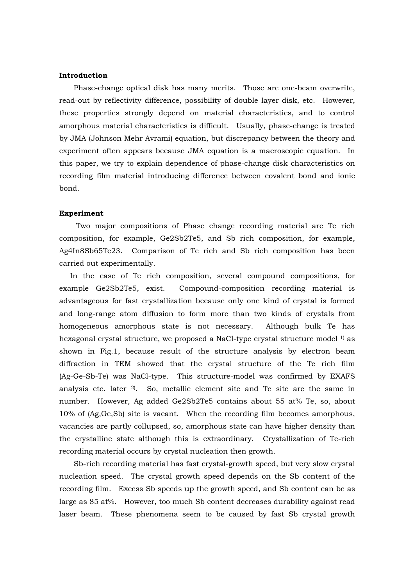## **Introduction**

Phase-change optical disk has many merits. Those are one-beam overwrite, read-out by reflectivity difference, possibility of double layer disk, etc. However, these properties strongly depend on material characteristics, and to control amorphous material characteristics is difficult. Usually, phase-change is treated by JMA (Johnson Mehr Avrami) equation, but discrepancy between the theory and experiment often appears because JMA equation is a macroscopic equation. In this paper, we try to explain dependence of phase-change disk characteristics on recording film material introducing difference between covalent bond and ionic bond.

### **Experiment**

 Two major compositions of Phase change recording material are Te rich composition, for example, Ge2Sb2Te5, and Sb rich composition, for example, Ag4In8Sb65Te23. Comparison of Te rich and Sb rich composition has been carried out experimentally.

 In the case of Te rich composition, several compound compositions, for example Ge2Sb2Te5, exist. Compound-composition recording material is advantageous for fast crystallization because only one kind of crystal is formed and long-range atom diffusion to form more than two kinds of crystals from homogeneous amorphous state is not necessary. Although bulk Te has hexagonal crystal structure, we proposed a NaCl-type crystal structure model <sup>1)</sup> as shown in Fig.1, because result of the structure analysis by electron beam diffraction in TEM showed that the crystal structure of the Te rich film (Ag-Ge-Sb-Te) was NaCl-type. This structure-model was confirmed by EXAFS analysis etc. later  $2$ . So, metallic element site and Te site are the same in number. However, Ag added Ge2Sb2Te5 contains about 55 at% Te, so, about 10% of (Ag,Ge,Sb) site is vacant. When the recording film becomes amorphous, vacancies are partly collupsed, so, amorphous state can have higher density than the crystalline state although this is extraordinary. Crystallization of Te-rich recording material occurs by crystal nucleation then growth.

Sb-rich recording material has fast crystal-growth speed, but very slow crystal nucleation speed. The crystal growth speed depends on the Sb content of the recording film. Excess Sb speeds up the growth speed, and Sb content can be as large as 85 at%. However, too much Sb content decreases durability against read laser beam. These phenomena seem to be caused by fast Sb crystal growth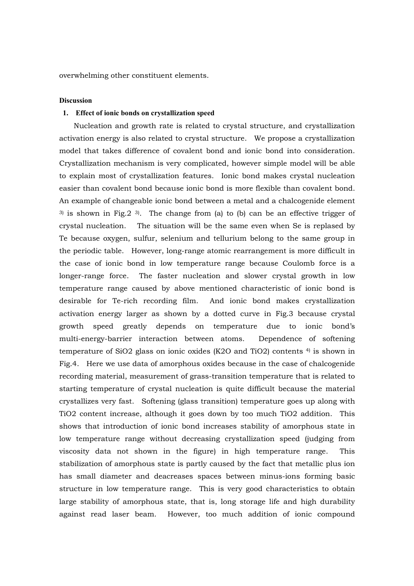overwhelming other constituent elements.

### **Discussion**

### **1. Effect of ionic bonds on crystallization speed**

Nucleation and growth rate is related to crystal structure, and crystallization activation energy is also related to crystal structure. We propose a crystallization model that takes difference of covalent bond and ionic bond into consideration. Crystallization mechanism is very complicated, however simple model will be able to explain most of crystallization features. Ionic bond makes crystal nucleation easier than covalent bond because ionic bond is more flexible than covalent bond. An example of changeable ionic bond between a metal and a chalcogenide element 3) is shown in Fig.  $2^{3}$ . The change from (a) to (b) can be an effective trigger of crystal nucleation. The situation will be the same even when Se is replased by Te because oxygen, sulfur, selenium and tellurium belong to the same group in the periodic table. However, long-range atomic rearrangement is more difficult in the case of ionic bond in low temperature range because Coulomb force is a longer-range force. The faster nucleation and slower crystal growth in low temperature range caused by above mentioned characteristic of ionic bond is desirable for Te-rich recording film. And ionic bond makes crystallization activation energy larger as shown by a dotted curve in Fig.3 because crystal growth speed greatly depends on temperature due to ionic bond's multi-energy-barrier interaction between atoms. Dependence of softening temperature of SiO2 glass on ionic oxides (K2O and TiO2) contents 4) is shown in Fig.4. Here we use data of amorphous oxides because in the case of chalcogenide recording material, measurement of grass-transition temperature that is related to starting temperature of crystal nucleation is quite difficult because the material crystallizes very fast. Softening (glass transition) temperature goes up along with TiO2 content increase, although it goes down by too much TiO2 addition. This shows that introduction of ionic bond increases stability of amorphous state in low temperature range without decreasing crystallization speed (judging from viscosity data not shown in the figure) in high temperature range. This stabilization of amorphous state is partly caused by the fact that metallic plus ion has small diameter and deacreases spaces between minus-ions forming basic structure in low temperature range. This is very good characteristics to obtain large stability of amorphous state, that is, long storage life and high durability against read laser beam. However, too much addition of ionic compound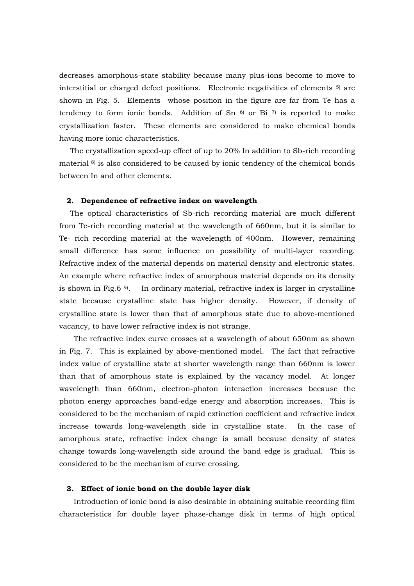decreases amorphous-state stability because many plus-ions become to move to interstitial or charged defect positions. Electronic negativities of elements 5) are shown in Fig. 5. Elements whose position in the figure are far from Te has a tendency to form ionic bonds. Addition of Sn  $6$  or Bi  $7$  is reported to make crystallization faster. These elements are considered to make chemical bonds having more ionic characteristics.

 The crystallization speed-up effect of up to 20% In addition to Sb-rich recording material 8) is also considered to be caused by ionic tendency of the chemical bonds between In and other elements.

#### **2. Dependence of refractive index on wavelength**

 The optical characteristics of Sb-rich recording material are much different from Te-rich recording material at the wavelength of 660nm, but it is similar to Te- rich recording material at the wavelength of 400nm. However, remaining small difference has some influence on possibility of multi-layer recording. Refractive index of the material depends on material density and electronic states. An example where refractive index of amorphous material depends on its density is shown in Fig.6  $9$ . In ordinary material, refractive index is larger in crystalline state because crystalline state has higher density. However, if density of crystalline state is lower than that of amorphous state due to above-mentioned vacancy, to have lower refractive index is not strange.

The refractive index curve crosses at a wavelength of about 650nm as shown in Fig. 7. This is explained by above-mentioned model. The fact that refractive index value of crystalline state at shorter wavelength range than 660nm is lower than that of amorphous state is explained by the vacancy model. At longer wavelength than 660nm, electron-photon interaction increases because the photon energy approaches band-edge energy and absorption increases. This is considered to be the mechanism of rapid extinction coefficient and refractive index increase towards long-wavelength side in crystalline state. In the case of amorphous state, refractive index change is small because density of states change towards long-wavelength side around the band edge is gradual. This is considered to be the mechanism of curve crossing.

### **3. Effect of ionic bond on the double layer disk**

Introduction of ionic bond is also desirable in obtaining suitable recording film characteristics for double layer phase-change disk in terms of high optical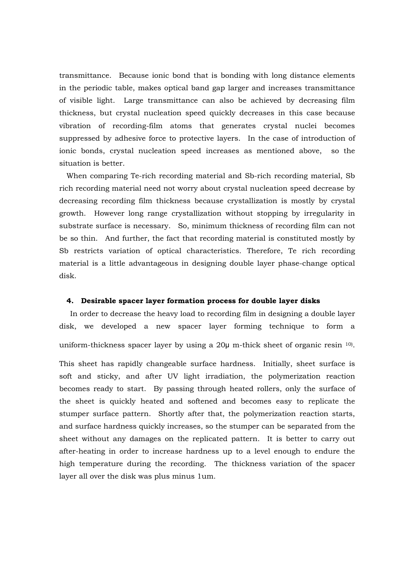transmittance. Because ionic bond that is bonding with long distance elements in the periodic table, makes optical band gap larger and increases transmittance of visible light. Large transmittance can also be achieved by decreasing film thickness, but crystal nucleation speed quickly decreases in this case because vibration of recording-film atoms that generates crystal nuclei becomes suppressed by adhesive force to protective layers. In the case of introduction of ionic bonds, crystal nucleation speed increases as mentioned above, so the situation is better.

 When comparing Te-rich recording material and Sb-rich recording material, Sb rich recording material need not worry about crystal nucleation speed decrease by decreasing recording film thickness because crystallization is mostly by crystal growth. However long range crystallization without stopping by irregularity in substrate surface is necessary. So, minimum thickness of recording film can not be so thin. And further, the fact that recording material is constituted mostly by Sb restricts variation of optical characteristics. Therefore, Te rich recording material is a little advantageous in designing double layer phase-change optical disk.

# **4. Desirable spacer layer formation process for double layer disks**

 In order to decrease the heavy load to recording film in designing a double layer disk, we developed a new spacer layer forming technique to form a uniform-thickness spacer layer by using a 20μ m-thick sheet of organic resin 10).

This sheet has rapidly changeable surface hardness. Initially, sheet surface is soft and sticky, and after UV light irradiation, the polymerization reaction becomes ready to start. By passing through heated rollers, only the surface of the sheet is quickly heated and softened and becomes easy to replicate the stumper surface pattern. Shortly after that, the polymerization reaction starts, and surface hardness quickly increases, so the stumper can be separated from the sheet without any damages on the replicated pattern. It is better to carry out after-heating in order to increase hardness up to a level enough to endure the high temperature during the recording. The thickness variation of the spacer layer all over the disk was plus minus 1um.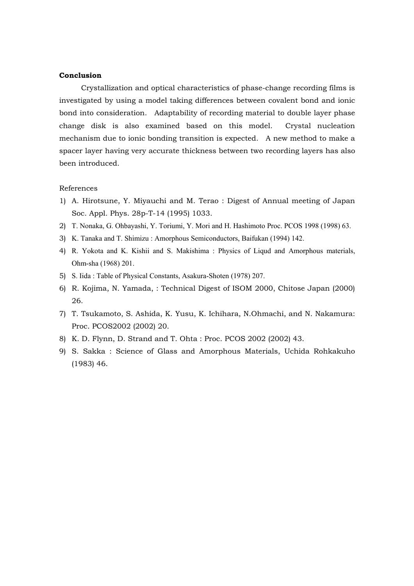## **Conclusion**

Crystallization and optical characteristics of phase-change recording films is investigated by using a model taking differences between covalent bond and ionic bond into consideration. Adaptability of recording material to double layer phase change disk is also examined based on this model. Crystal nucleation mechanism due to ionic bonding transition is expected. A new method to make a spacer layer having very accurate thickness between two recording layers has also been introduced.

# References

- 1) A. Hirotsune, Y. Miyauchi and M. Terao : Digest of Annual meeting of Japan Soc. Appl. Phys. 28p-T-14 (1995) 1033.
- 2) T. Nonaka, G. Ohbayashi, Y. Toriumi, Y. Mori and H. Hashimoto Proc. PCOS 1998 (1998) 63.
- 3) K. Tanaka and T. Shimizu : Amorphous Semiconductors, Baifukan (1994) 142.
- 4) R. Yokota and K. Kishii and S. Makishima : Physics of Liqud and Amorphous materials, Ohm-sha (1968) 201.
- 5) S. Iida : Table of Physical Constants, Asakura-Shoten (1978) 207.
- 6) R. Kojima, N. Yamada, : Technical Digest of ISOM 2000, Chitose Japan (2000) 26.
- 7) T. Tsukamoto, S. Ashida, K. Yusu, K. Ichihara, N.Ohmachi, and N. Nakamura: Proc. PCOS2002 (2002) 20.
- 8) K. D. Flynn, D. Strand and T. Ohta : Proc. PCOS 2002 (2002) 43.
- 9) S. Sakka : Science of Glass and Amorphous Materials, Uchida Rohkakuho (1983) 46.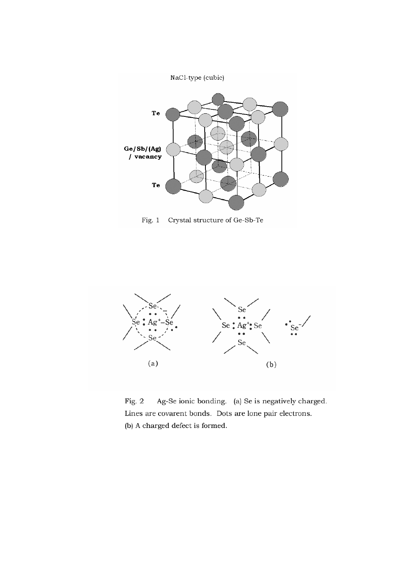

Fig.  $1$ Crystal structure of Ge-Sb-Te



Fig. 2 Ag-Se ionic bonding. (a) Se is negatively charged. Lines are covarent bonds. Dots are lone pair electrons. (b) A charged defect is formed.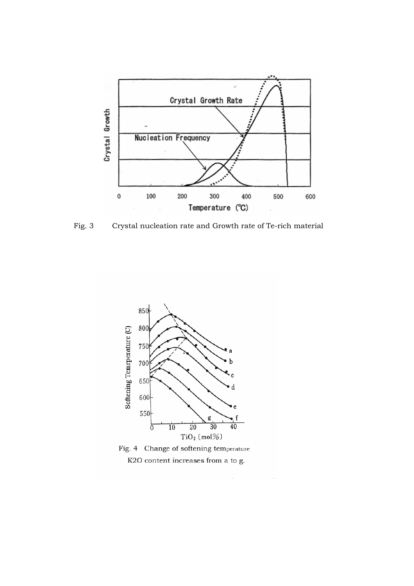

Fig. 3 Crystal nucleation rate and Growth rate of Te-rich material

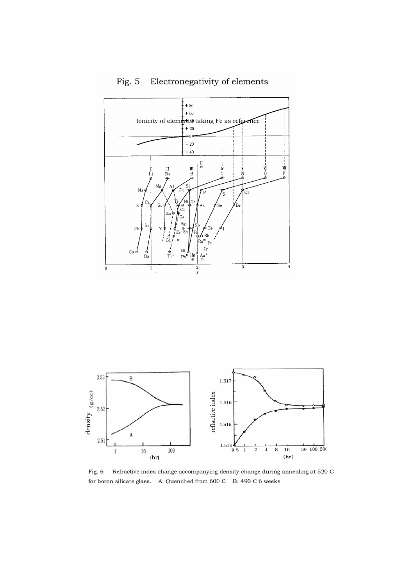





Fig. 6 Refractive index change accompanying density change during annealing at 520 C  $\,$ for boron silicate glass. A: Quenched from 600 C B: 490 C 6 weeks